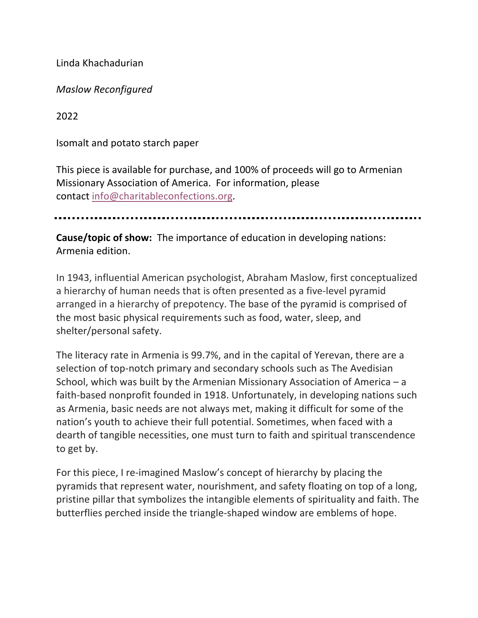Linda Khachadurian

*Maslow Reconfigured*

2022

Isomalt and potato starch paper

This piece is available for purchase, and 100% of proceeds will go to Armenian Missionary Association of America. For information, please contact info@charitableconfections.org.

**Cause/topic of show:** The importance of education in developing nations: Armenia edition.

In 1943, influential American psychologist, Abraham Maslow, first conceptualized a hierarchy of human needs that is often presented as a five-level pyramid arranged in a hierarchy of prepotency. The base of the pyramid is comprised of the most basic physical requirements such as food, water, sleep, and shelter/personal safety.

The literacy rate in Armenia is 99.7%, and in the capital of Yerevan, there are a selection of top-notch primary and secondary schools such as The Avedisian School, which was built by the Armenian Missionary Association of America – a faith-based nonprofit founded in 1918. Unfortunately, in developing nations such as Armenia, basic needs are not always met, making it difficult for some of the nation's youth to achieve their full potential. Sometimes, when faced with a dearth of tangible necessities, one must turn to faith and spiritual transcendence to get by.

For this piece, I re-imagined Maslow's concept of hierarchy by placing the pyramids that represent water, nourishment, and safety floating on top of a long, pristine pillar that symbolizes the intangible elements of spirituality and faith. The butterflies perched inside the triangle-shaped window are emblems of hope.